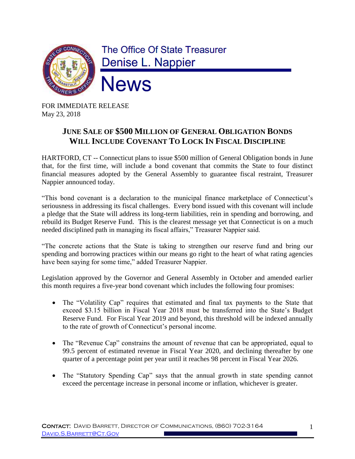

FOR IMMEDIATE RELEASE May 23, 2018

## **JUNE SALE OF \$500 MILLION OF GENERAL OBLIGATION BONDS WILL INCLUDE COVENANT TO LOCK IN FISCAL DISCIPLINE**

HARTFORD, CT -- Connecticut plans to issue \$500 million of General Obligation bonds in June that, for the first time, will include a bond covenant that commits the State to four distinct financial measures adopted by the General Assembly to guarantee fiscal restraint, Treasurer Nappier announced today.

"This bond covenant is a declaration to the municipal finance marketplace of Connecticut's seriousness in addressing its fiscal challenges. Every bond issued with this covenant will include a pledge that the State will address its long-term liabilities, rein in spending and borrowing, and rebuild its Budget Reserve Fund. This is the clearest message yet that Connecticut is on a much needed disciplined path in managing its fiscal affairs," Treasurer Nappier said.

"The concrete actions that the State is taking to strengthen our reserve fund and bring our spending and borrowing practices within our means go right to the heart of what rating agencies have been saying for some time," added Treasurer Nappier.

Legislation approved by the Governor and General Assembly in October and amended earlier this month requires a five-year bond covenant which includes the following four promises:

- The "Volatility Cap" requires that estimated and final tax payments to the State that exceed \$3.15 billion in Fiscal Year 2018 must be transferred into the State's Budget Reserve Fund. For Fiscal Year 2019 and beyond, this threshold will be indexed annually to the rate of growth of Connecticut's personal income.
- The "Revenue Cap" constrains the amount of revenue that can be appropriated, equal to 99.5 percent of estimated revenue in Fiscal Year 2020, and declining thereafter by one quarter of a percentage point per year until it reaches 98 percent in Fiscal Year 2026.
- The "Statutory Spending Cap" says that the annual growth in state spending cannot exceed the percentage increase in personal income or inflation, whichever is greater.